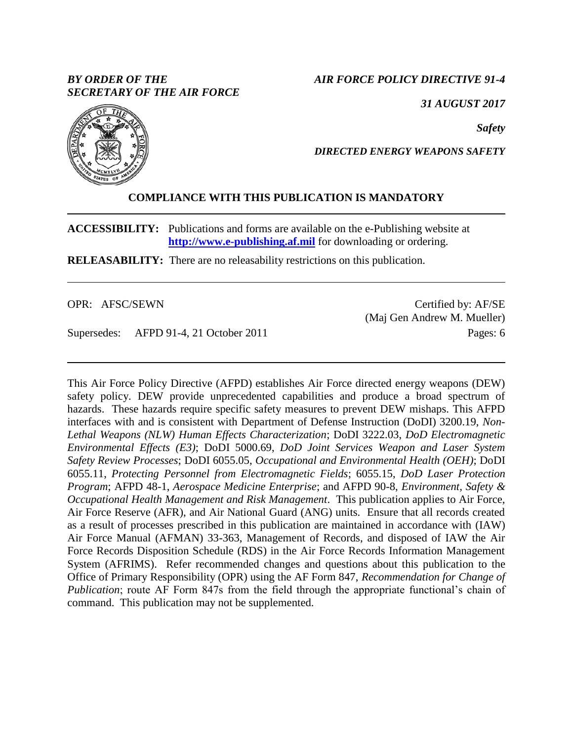# *BY ORDER OF THE SECRETARY OF THE AIR FORCE*

*AIR FORCE POLICY DIRECTIVE 91-4*

*31 AUGUST 2017*

*Safety*



## *DIRECTED ENERGY WEAPONS SAFETY*

# **COMPLIANCE WITH THIS PUBLICATION IS MANDATORY**

**ACCESSIBILITY:** Publications and forms are available on the e-Publishing website at **[http://www.e-publishing.af.mil](http://www.e-publishing.af.mil/)** for downloading or ordering.

**RELEASABILITY:** There are no releasability restrictions on this publication.

OPR: AFSC/SEWN

Supersedes: AFPD 91-4, 21 October 2011

Certified by: AF/SE (Maj Gen Andrew M. Mueller) Pages: 6

This Air Force Policy Directive (AFPD) establishes Air Force directed energy weapons (DEW) safety policy. DEW provide unprecedented capabilities and produce a broad spectrum of hazards. These hazards require specific safety measures to prevent DEW mishaps. This AFPD interfaces with and is consistent with Department of Defense Instruction (DoDI) 3200.19, *Non-Lethal Weapons (NLW) Human Effects Characterization*; DoDI 3222.03, *DoD Electromagnetic Environmental Effects (E3)*; DoDI 5000.69, *DoD Joint Services Weapon and Laser System Safety Review Processes*; DoDI 6055.05, *Occupational and Environmental Health (OEH)*; DoDI 6055.11, *Protecting Personnel from Electromagnetic Fields*; 6055.15, *DoD Laser Protection Program*; AFPD 48-1, *Aerospace Medicine Enterprise*; and AFPD 90-8, *Environment, Safety & Occupational Health Management and Risk Management*. This publication applies to Air Force, Air Force Reserve (AFR), and Air National Guard (ANG) units. Ensure that all records created as a result of processes prescribed in this publication are maintained in accordance with (IAW) Air Force Manual (AFMAN) 33-363, Management of Records, and disposed of IAW the Air Force Records Disposition Schedule (RDS) in the Air Force Records Information Management System (AFRIMS). Refer recommended changes and questions about this publication to the Office of Primary Responsibility (OPR) using the AF Form 847, *Recommendation for Change of Publication*; route AF Form 847s from the field through the appropriate functional's chain of command. This publication may not be supplemented.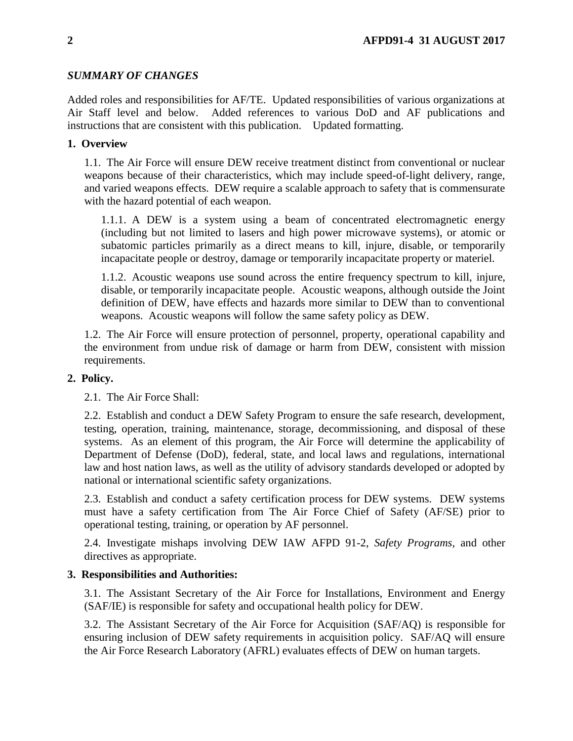# *SUMMARY OF CHANGES*

Added roles and responsibilities for AF/TE. Updated responsibilities of various organizations at Air Staff level and below. Added references to various DoD and AF publications and instructions that are consistent with this publication. Updated formatting.

## **1. Overview**

1.1. The Air Force will ensure DEW receive treatment distinct from conventional or nuclear weapons because of their characteristics, which may include speed-of-light delivery, range, and varied weapons effects. DEW require a scalable approach to safety that is commensurate with the hazard potential of each weapon.

1.1.1. A DEW is a system using a beam of concentrated electromagnetic energy (including but not limited to lasers and high power microwave systems), or atomic or subatomic particles primarily as a direct means to kill, injure, disable, or temporarily incapacitate people or destroy, damage or temporarily incapacitate property or materiel.

1.1.2. Acoustic weapons use sound across the entire frequency spectrum to kill, injure, disable, or temporarily incapacitate people. Acoustic weapons, although outside the Joint definition of DEW, have effects and hazards more similar to DEW than to conventional weapons. Acoustic weapons will follow the same safety policy as DEW.

1.2. The Air Force will ensure protection of personnel, property, operational capability and the environment from undue risk of damage or harm from DEW, consistent with mission requirements.

## **2. Policy.**

2.1. The Air Force Shall:

2.2. Establish and conduct a DEW Safety Program to ensure the safe research, development, testing, operation, training, maintenance, storage, decommissioning, and disposal of these systems. As an element of this program, the Air Force will determine the applicability of Department of Defense (DoD), federal, state, and local laws and regulations, international law and host nation laws, as well as the utility of advisory standards developed or adopted by national or international scientific safety organizations.

2.3. Establish and conduct a safety certification process for DEW systems. DEW systems must have a safety certification from The Air Force Chief of Safety (AF/SE) prior to operational testing, training, or operation by AF personnel.

2.4. Investigate mishaps involving DEW IAW AFPD 91-2, *Safety Programs*, and other directives as appropriate.

## **3. Responsibilities and Authorities:**

3.1. The Assistant Secretary of the Air Force for Installations, Environment and Energy (SAF/IE) is responsible for safety and occupational health policy for DEW.

3.2. The Assistant Secretary of the Air Force for Acquisition (SAF/AQ) is responsible for ensuring inclusion of DEW safety requirements in acquisition policy. SAF/AQ will ensure the Air Force Research Laboratory (AFRL) evaluates effects of DEW on human targets.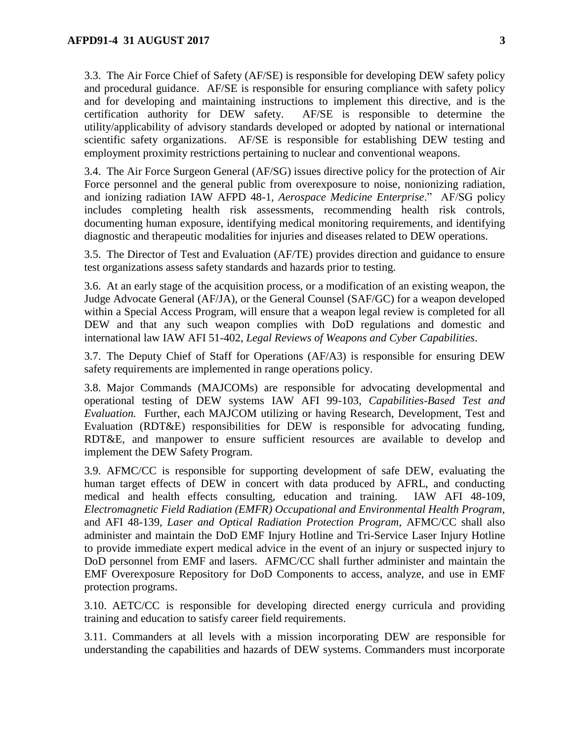3.3. The Air Force Chief of Safety (AF/SE) is responsible for developing DEW safety policy and procedural guidance. AF/SE is responsible for ensuring compliance with safety policy and for developing and maintaining instructions to implement this directive, and is the certification authority for DEW safety. AF/SE is responsible to determine the utility/applicability of advisory standards developed or adopted by national or international scientific safety organizations. AF/SE is responsible for establishing DEW testing and employment proximity restrictions pertaining to nuclear and conventional weapons.

3.4. The Air Force Surgeon General (AF/SG) issues directive policy for the protection of Air Force personnel and the general public from overexposure to noise, nonionizing radiation, and ionizing radiation IAW AFPD 48-1, *Aerospace Medicine Enterprise*." AF/SG policy includes completing health risk assessments, recommending health risk controls, documenting human exposure, identifying medical monitoring requirements, and identifying diagnostic and therapeutic modalities for injuries and diseases related to DEW operations.

3.5. The Director of Test and Evaluation (AF/TE) provides direction and guidance to ensure test organizations assess safety standards and hazards prior to testing.

3.6. At an early stage of the acquisition process, or a modification of an existing weapon, the Judge Advocate General (AF/JA), or the General Counsel (SAF/GC) for a weapon developed within a Special Access Program, will ensure that a weapon legal review is completed for all DEW and that any such weapon complies with DoD regulations and domestic and international law IAW AFI 51-402, *Legal Reviews of Weapons and Cyber Capabilities*.

3.7. The Deputy Chief of Staff for Operations (AF/A3) is responsible for ensuring DEW safety requirements are implemented in range operations policy.

3.8. Major Commands (MAJCOMs) are responsible for advocating developmental and operational testing of DEW systems IAW AFI 99-103, *Capabilities-Based Test and Evaluation.* Further, each MAJCOM utilizing or having Research, Development, Test and Evaluation (RDT&E) responsibilities for DEW is responsible for advocating funding, RDT&E, and manpower to ensure sufficient resources are available to develop and implement the DEW Safety Program.

3.9. AFMC/CC is responsible for supporting development of safe DEW, evaluating the human target effects of DEW in concert with data produced by AFRL, and conducting medical and health effects consulting, education and training. IAW AFI 48-109, *Electromagnetic Field Radiation (EMFR) Occupational and Environmental Health Program,*  and AFI 48-139, *Laser and Optical Radiation Protection Program,* AFMC/CC shall also administer and maintain the DoD EMF Injury Hotline and Tri-Service Laser Injury Hotline to provide immediate expert medical advice in the event of an injury or suspected injury to DoD personnel from EMF and lasers. AFMC/CC shall further administer and maintain the EMF Overexposure Repository for DoD Components to access, analyze, and use in EMF protection programs.

3.10. AETC/CC is responsible for developing directed energy curricula and providing training and education to satisfy career field requirements.

3.11. Commanders at all levels with a mission incorporating DEW are responsible for understanding the capabilities and hazards of DEW systems. Commanders must incorporate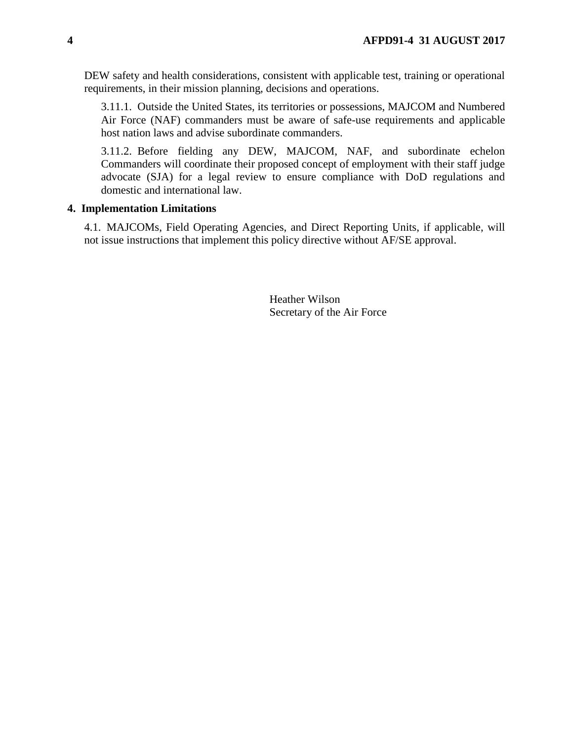DEW safety and health considerations, consistent with applicable test, training or operational requirements, in their mission planning, decisions and operations.

3.11.1. Outside the United States, its territories or possessions, MAJCOM and Numbered Air Force (NAF) commanders must be aware of safe-use requirements and applicable host nation laws and advise subordinate commanders.

3.11.2. Before fielding any DEW, MAJCOM, NAF, and subordinate echelon Commanders will coordinate their proposed concept of employment with their staff judge advocate (SJA) for a legal review to ensure compliance with DoD regulations and domestic and international law.

### **4. Implementation Limitations**

4.1. MAJCOMs, Field Operating Agencies, and Direct Reporting Units, if applicable, will not issue instructions that implement this policy directive without AF/SE approval.

> Heather Wilson Secretary of the Air Force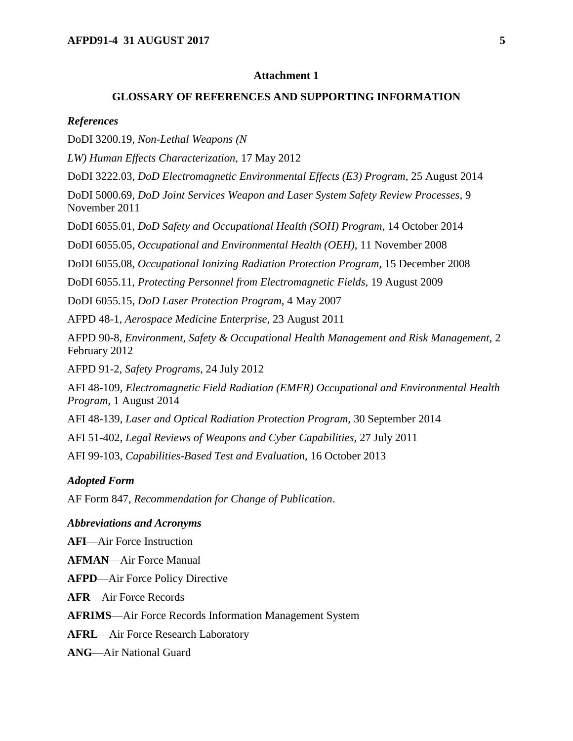### **Attachment 1**

### **GLOSSARY OF REFERENCES AND SUPPORTING INFORMATION**

#### *References*

DoDI 3200.19, *Non-Lethal Weapons (N*

*LW) Human Effects Characterization,* 17 May 2012

DoDI 3222.03, *DoD Electromagnetic Environmental Effects (E3) Program,* 25 August 2014

DoDI 5000.69, *DoD Joint Services Weapon and Laser System Safety Review Processes,* 9 November 2011

DoDI 6055.01, *DoD Safety and Occupational Health (SOH) Program*, 14 October 2014

DoDI 6055.05, *Occupational and Environmental Health (OEH),* 11 November 2008

DoDI 6055.08, *Occupational Ionizing Radiation Protection Program,* 15 December 2008

DoDI 6055.11, *Protecting Personnel from Electromagnetic Fields,* 19 August 2009

DoDI 6055.15, *DoD Laser Protection Program,* 4 May 2007

AFPD 48-1, *Aerospace Medicine Enterprise,* 23 August 2011

AFPD 90-8, *Environment, Safety & Occupational Health Management and Risk Management,* 2 February 2012

AFPD 91-2, *Safety Programs,* 24 July 2012

AFI 48-109, *Electromagnetic Field Radiation (EMFR) Occupational and Environmental Health Program,* 1 August 2014

AFI 48-139, *Laser and Optical Radiation Protection Program,* 30 September 2014

AFI 51-402, *Legal Reviews of Weapons and Cyber Capabilities,* 27 July 2011

AFI 99-103, *Capabilities-Based Test and Evaluation,* 16 October 2013

### *Adopted Form*

AF Form 847, *Recommendation for Change of Publication*.

#### *Abbreviations and Acronyms*

**AFI**—Air Force Instruction

**AFMAN**—Air Force Manual

**AFPD**—Air Force Policy Directive

**AFR**—Air Force Records

**AFRIMS**—Air Force Records Information Management System

**AFRL**—Air Force Research Laboratory

**ANG**—Air National Guard